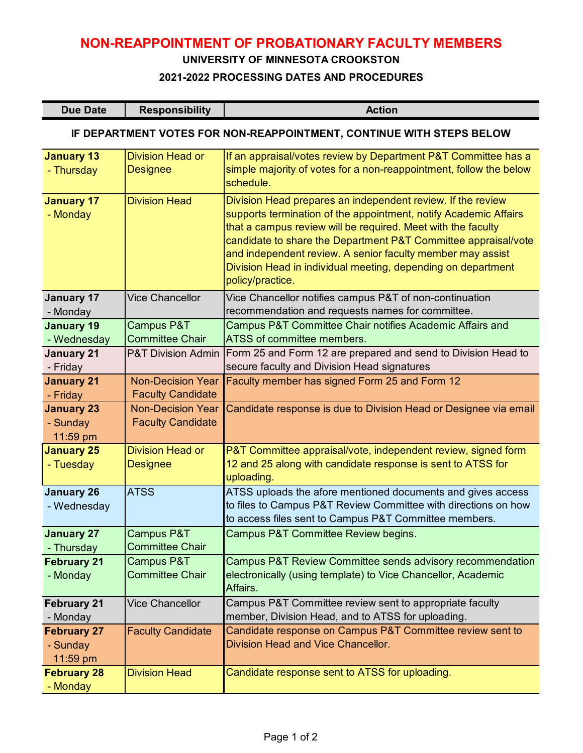# **NON-REAPPOINTMENT OF PROBATIONARY FACULTY MEMBERS**

#### **UNIVERSITY OF MINNESOTA CROOKSTON**

#### **2021-2022 PROCESSING DATES AND PROCEDURES**

| <b>Due Date</b> | <b>Responsibility</b> | Action |
|-----------------|-----------------------|--------|
|-----------------|-----------------------|--------|

## **IF DEPARTMENT VOTES FOR NON-REAPPOINTMENT, CONTINUE WITH STEPS BELOW**

| <b>January 13</b><br>- Thursday            | <b>Division Head or</b><br><b>Designee</b>           | If an appraisal/votes review by Department P&T Committee has a<br>simple majority of votes for a non-reappointment, follow the below<br>schedule.                                                                                                                                                                                                                                                                   |
|--------------------------------------------|------------------------------------------------------|---------------------------------------------------------------------------------------------------------------------------------------------------------------------------------------------------------------------------------------------------------------------------------------------------------------------------------------------------------------------------------------------------------------------|
| <b>January 17</b><br>- Monday              | <b>Division Head</b>                                 | Division Head prepares an independent review. If the review<br>supports termination of the appointment, notify Academic Affairs<br>that a campus review will be required. Meet with the faculty<br>candidate to share the Department P&T Committee appraisal/vote<br>and independent review. A senior faculty member may assist<br>Division Head in individual meeting, depending on department<br>policy/practice. |
| <b>January 17</b><br>- Monday              | <b>Vice Chancellor</b>                               | Vice Chancellor notifies campus P&T of non-continuation<br>recommendation and requests names for committee.                                                                                                                                                                                                                                                                                                         |
| <b>January 19</b><br>- Wednesday           | Campus P&T<br><b>Committee Chair</b>                 | Campus P&T Committee Chair notifies Academic Affairs and<br>ATSS of committee members.                                                                                                                                                                                                                                                                                                                              |
| <b>January 21</b><br>- Friday              | <b>P&amp;T Division Admin</b>                        | Form 25 and Form 12 are prepared and send to Division Head to<br>secure faculty and Division Head signatures                                                                                                                                                                                                                                                                                                        |
| <b>January 21</b><br>- Friday              | <b>Non-Decision Year</b><br><b>Faculty Candidate</b> | Faculty member has signed Form 25 and Form 12                                                                                                                                                                                                                                                                                                                                                                       |
| <b>January 23</b><br>- Sunday<br>11:59 pm  | <b>Non-Decision Year</b><br><b>Faculty Candidate</b> | Candidate response is due to Division Head or Designee via email                                                                                                                                                                                                                                                                                                                                                    |
| <b>January 25</b><br>- Tuesday             | <b>Division Head or</b><br><b>Designee</b>           | P&T Committee appraisal/vote, independent review, signed form<br>12 and 25 along with candidate response is sent to ATSS for<br>uploading.                                                                                                                                                                                                                                                                          |
| <b>January 26</b><br>- Wednesday           | <b>ATSS</b>                                          | ATSS uploads the afore mentioned documents and gives access<br>to files to Campus P&T Review Committee with directions on how<br>to access files sent to Campus P&T Committee members.                                                                                                                                                                                                                              |
| <b>January 27</b><br>- Thursday            | Campus P&T<br><b>Committee Chair</b>                 | Campus P&T Committee Review begins.                                                                                                                                                                                                                                                                                                                                                                                 |
| <b>February 21</b><br>- Monday             | Campus P&T<br><b>Committee Chair</b>                 | Campus P&T Review Committee sends advisory recommendation<br>electronically (using template) to Vice Chancellor, Academic<br>Affairs.                                                                                                                                                                                                                                                                               |
| <b>February 21</b><br>- Monday             | <b>Vice Chancellor</b>                               | Campus P&T Committee review sent to appropriate faculty<br>member, Division Head, and to ATSS for uploading.                                                                                                                                                                                                                                                                                                        |
| <b>February 27</b><br>- Sunday<br>11:59 pm | <b>Faculty Candidate</b>                             | Candidate response on Campus P&T Committee review sent to<br>Division Head and Vice Chancellor.                                                                                                                                                                                                                                                                                                                     |
| <b>February 28</b><br>- Monday             | <b>Division Head</b>                                 | Candidate response sent to ATSS for uploading.                                                                                                                                                                                                                                                                                                                                                                      |